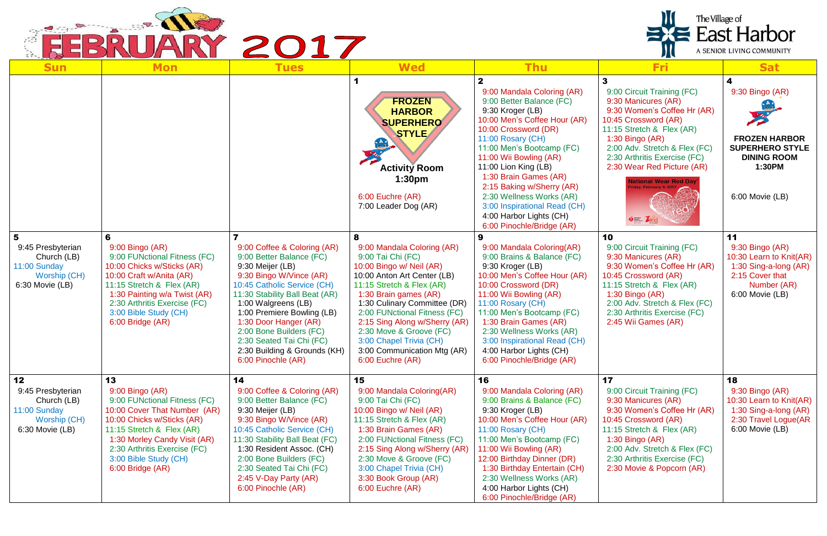

| The Village of<br>$\equiv$ East Harbor<br>ARY 2017<br>A SENIOR LIVING COMMUNITY           |                                                                                                                                                                                                                                                                   |                                                                                                                                                                                                                                                                                                                                                                    |                                                                                                                                                                                                                                                                                                                                                                                 |                                                                                                                                                                                                                                                                                                                                                                                                                  |                                                                                                                                                                                                                                                                                                                          |                                                                                                                                |  |  |  |
|-------------------------------------------------------------------------------------------|-------------------------------------------------------------------------------------------------------------------------------------------------------------------------------------------------------------------------------------------------------------------|--------------------------------------------------------------------------------------------------------------------------------------------------------------------------------------------------------------------------------------------------------------------------------------------------------------------------------------------------------------------|---------------------------------------------------------------------------------------------------------------------------------------------------------------------------------------------------------------------------------------------------------------------------------------------------------------------------------------------------------------------------------|------------------------------------------------------------------------------------------------------------------------------------------------------------------------------------------------------------------------------------------------------------------------------------------------------------------------------------------------------------------------------------------------------------------|--------------------------------------------------------------------------------------------------------------------------------------------------------------------------------------------------------------------------------------------------------------------------------------------------------------------------|--------------------------------------------------------------------------------------------------------------------------------|--|--|--|
| <b>Sun</b>                                                                                | <b>Mon</b>                                                                                                                                                                                                                                                        | <b>Tues</b>                                                                                                                                                                                                                                                                                                                                                        | <b>Wed</b>                                                                                                                                                                                                                                                                                                                                                                      | <b>Thu</b>                                                                                                                                                                                                                                                                                                                                                                                                       | Fri                                                                                                                                                                                                                                                                                                                      | <b>Sat</b>                                                                                                                     |  |  |  |
|                                                                                           |                                                                                                                                                                                                                                                                   |                                                                                                                                                                                                                                                                                                                                                                    | <b>FROZEN</b><br><b>HARBOR</b><br><b>SUPERHERO</b><br><b>STYLE</b><br><b>Activity Room</b><br>1:30 <sub>pm</sub><br>6:00 Euchre (AR)<br>7:00 Leader Dog (AR)                                                                                                                                                                                                                    | 9:00 Mandala Coloring (AR)<br>9:00 Better Balance (FC)<br>9:30 Kroger (LB)<br>10:00 Men's Coffee Hour (AR)<br>10:00 Crossword (DR)<br>11:00 Rosary (CH)<br>11:00 Men's Bootcamp (FC)<br>11:00 Wii Bowling (AR)<br>11:00 Lion King (LB)<br>1:30 Brain Games (AR)<br>2:15 Baking w/Sherry (AR)<br>2:30 Wellness Works (AR)<br>3:00 Inspirational Read (CH)<br>4:00 Harbor Lights (CH)<br>6:00 Pinochle/Bridge (AR) | 9:00 Circuit Training (FC)<br>9:30 Manicures (AR)<br>9:30 Women's Coffee Hr (AR)<br>10:45 Crossword (AR)<br>11:15 Stretch & Flex (AR)<br>1:30 Bingo $(AR)$<br>2:00 Adv. Stretch & Flex (FC)<br>2:30 Arthritis Exercise (FC)<br>2:30 Wear Red Picture (AR)<br><b>Vational Wear Red Day</b><br>$\bullet = 2$ <sub>Rc</sub> | 9:30 Bingo (AR)<br><b>FROZEN HARBOR</b><br><b>SUPERHERO STYLE</b><br><b>DINING ROOM</b><br>1:30PM<br>6:00 Movie (LB)           |  |  |  |
| 5<br>9:45 Presbyterian<br>Church (LB)<br>11:00 Sunday<br>Worship (CH)<br>6:30 Movie (LB)  | 6<br>$9:00$ Bingo $(AR)$<br>9:00 FUNctional Fitness (FC)<br>10:00 Chicks w/Sticks (AR)<br>10:00 Craft w/Anita (AR)<br>11:15 Stretch & Flex (AR)<br>1:30 Painting w/a Twist (AR)<br>2:30 Arthritis Exercise (FC)<br>3:00 Bible Study (CH)<br>6:00 Bridge (AR)      | 9:00 Coffee & Coloring (AR)<br>9:00 Better Balance (FC)<br>9:30 Meijer (LB)<br>9:30 Bingo W/Vince (AR)<br>10:45 Catholic Service (CH)<br>11:30 Stability Ball Beat (AR)<br>1:00 Walgreens (LB)<br>1:00 Premiere Bowling (LB)<br>1:30 Door Hanger (AR)<br>2:00 Bone Builders (FC)<br>2:30 Seated Tai Chi (FC)<br>2:30 Building & Grounds (KH)<br>6:00 Pinochle (AR) | 8<br>9:00 Mandala Coloring (AR)<br>9:00 Tai Chi (FC)<br>10:00 Bingo w/ Neil (AR)<br>10:00 Anton Art Center (LB)<br>11:15 Stretch & Flex (AR)<br>1:30 Brain games (AR)<br>1:30 Culinary Committee (DR)<br>2:00 FUNctional Fitness (FC)<br>2:15 Sing Along w/Sherry (AR)<br>2:30 Move & Groove (FC)<br>3:00 Chapel Trivia (CH)<br>3:00 Communication Mtg (AR)<br>6:00 Euchre (AR) | 9<br>9:00 Mandala Coloring(AR)<br>9:00 Brains & Balance (FC)<br>9:30 Kroger (LB)<br>10:00 Men's Coffee Hour (AR)<br>10:00 Crossword (DR)<br>11:00 Wii Bowling (AR)<br>11:00 Rosary (CH)<br>11:00 Men's Bootcamp (FC)<br>1:30 Brain Games (AR)<br>2:30 Wellness Works (AR)<br>3:00 Inspirational Read (CH)<br>4:00 Harbor Lights (CH)<br>6:00 Pinochle/Bridge (AR)                                                | 10<br>9:00 Circuit Training (FC)<br>9:30 Manicures (AR)<br>9:30 Women's Coffee Hr (AR)<br>10:45 Crossword (AR)<br>11:15 Stretch & Flex (AR)<br>$1:30$ Bingo (AR)<br>2:00 Adv. Stretch & Flex (FC)<br>2:30 Arthritis Exercise (FC)<br>2:45 Wii Games (AR)                                                                 | 11<br>9:30 Bingo (AR)<br>10:30 Learn to Knit(AR)<br>1:30 Sing-a-long (AR)<br>2:15 Cover that<br>Number (AR)<br>6:00 Movie (LB) |  |  |  |
| 12<br>9:45 Presbyterian<br>Church (LB)<br>11:00 Sunday<br>Worship (CH)<br>6:30 Movie (LB) | 13<br>$9:00$ Bingo $(AR)$<br>9:00 FUNctional Fitness (FC)<br>10:00 Cover That Number (AR)<br>10:00 Chicks w/Sticks (AR)<br>11:15 Stretch & Flex (AR)<br>1:30 Morley Candy Visit (AR)<br>2:30 Arthritis Exercise (FC)<br>3:00 Bible Study (CH)<br>6:00 Bridge (AR) | 14<br>9:00 Coffee & Coloring (AR)<br>9:00 Better Balance (FC)<br>9:30 Meijer (LB)<br>9:30 Bingo W/Vince (AR)<br>10:45 Catholic Service (CH)<br>11:30 Stability Ball Beat (FC)<br>1:30 Resident Assoc. (CH)<br>2:00 Bone Builders (FC)<br>2:30 Seated Tai Chi (FC)<br>2:45 V-Day Party (AR)<br>6:00 Pinochle (AR)                                                   | 15<br>9:00 Mandala Coloring(AR)<br>9:00 Tai Chi (FC)<br>10:00 Bingo w/ Neil (AR)<br>11:15 Stretch & Flex (AR)<br>1:30 Brain Games (AR)<br>2:00 FUNctional Fitness (FC)<br>2:15 Sing Along w/Sherry (AR)<br>2:30 Move & Groove (FC)<br>3:00 Chapel Trivia (CH)<br>3:30 Book Group (AR)<br>6:00 Euchre (AR)                                                                       | 16<br>9:00 Mandala Coloring (AR)<br>9:00 Brains & Balance (FC)<br>9:30 Kroger (LB)<br>10:00 Men's Coffee Hour (AR)<br>11:00 Rosary (CH)<br>11:00 Men's Bootcamp (FC)<br>11:00 Wii Bowling (AR)<br>12:00 Birthday Dinner (DR)<br>1:30 Birthday Entertain (CH)<br>2:30 Wellness Works (AR)<br>4:00 Harbor Lights (CH)<br>6:00 Pinochle/Bridge (AR)                                                                 | 17<br>9:00 Circuit Training (FC)<br>9:30 Manicures (AR)<br>9:30 Women's Coffee Hr (AR)<br>10:45 Crossword (AR)<br>11:15 Stretch & Flex (AR)<br>$1:30$ Bingo (AR)<br>2:00 Adv. Stretch & Flex (FC)<br>2:30 Arthritis Exercise (FC)<br>2:30 Movie & Popcorn (AR)                                                           | 18<br>9:30 Bingo (AR)<br>10:30 Learn to Knit(AR)<br>1:30 Sing-a-long (AR)<br>2:30 Travel Logue(AR<br>6:00 Movie (LB)           |  |  |  |